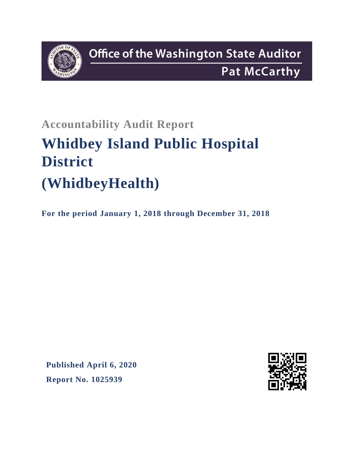

# **Accountability Audit Report Whidbey Island Public Hospital District (WhidbeyHealth)**

**For the period January 1, 2018 through December 31, 2018**

**Published April 6, 2020 Report No. 1025939**

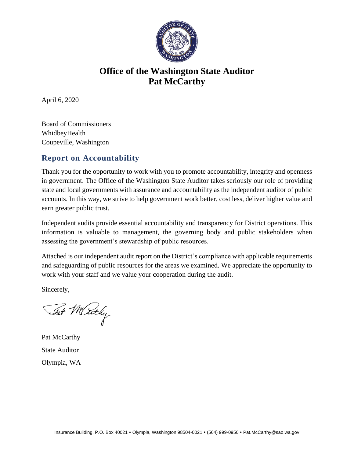

# **Office of the Washington State Auditor Pat McCarthy**

April 6, 2020

Board of Commissioners WhidbeyHealth Coupeville, Washington

## **Report on Accountability**

Thank you for the opportunity to work with you to promote accountability, integrity and openness in government. The Office of the Washington State Auditor takes seriously our role of providing state and local governments with assurance and accountability as the independent auditor of public accounts. In this way, we strive to help government work better, cost less, deliver higher value and earn greater public trust.

Independent audits provide essential accountability and transparency for District operations. This information is valuable to management, the governing body and public stakeholders when assessing the government's stewardship of public resources.

Attached is our independent audit report on the District's compliance with applicable requirements and safeguarding of public resources for the areas we examined. We appreciate the opportunity to work with your staff and we value your cooperation during the audit.

Sincerely,

Tat Merchy

Pat McCarthy State Auditor Olympia, WA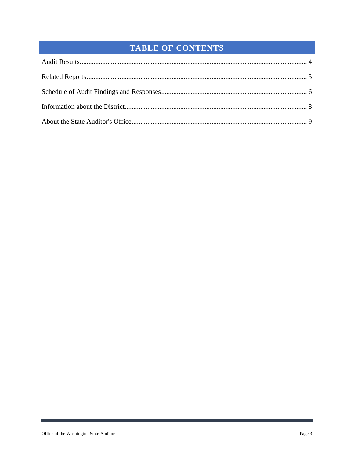## TABLE OF CONTENTS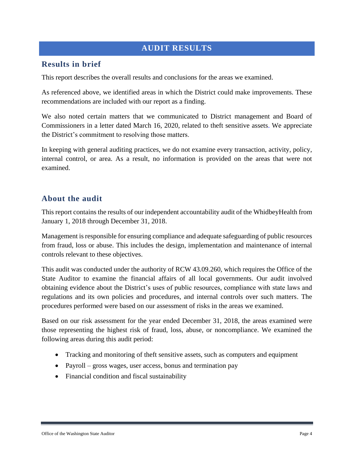## <span id="page-3-0"></span>**AUDIT RESULTS**

#### **Results in brief**

This report describes the overall results and conclusions for the areas we examined.

As referenced above, we identified areas in which the District could make improvements. These recommendations are included with our report as a finding.

We also noted certain matters that we communicated to District management and Board of Commissioners in a letter dated March 16, 2020, related to theft sensitive assets. We appreciate the District's commitment to resolving those matters.

In keeping with general auditing practices, we do not examine every transaction, activity, policy, internal control, or area. As a result, no information is provided on the areas that were not examined.

### **About the audit**

This report contains the results of our independent accountability audit of the WhidbeyHealth from January 1, 2018 through December 31, 2018.

Management is responsible for ensuring compliance and adequate safeguarding of public resources from fraud, loss or abuse. This includes the design, implementation and maintenance of internal controls relevant to these objectives.

This audit was conducted under the authority of RCW 43.09.260, which requires the Office of the State Auditor to examine the financial affairs of all local governments. Our audit involved obtaining evidence about the District's uses of public resources, compliance with state laws and regulations and its own policies and procedures, and internal controls over such matters. The procedures performed were based on our assessment of risks in the areas we examined.

Based on our risk assessment for the year ended December 31, 2018, the areas examined were those representing the highest risk of fraud, loss, abuse, or noncompliance. We examined the following areas during this audit period:

- Tracking and monitoring of theft sensitive assets, such as computers and equipment
- Payroll gross wages, user access, bonus and termination pay
- Financial condition and fiscal sustainability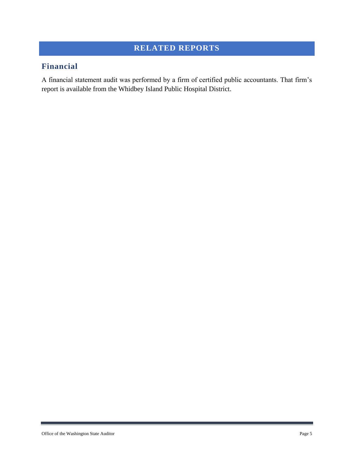## <span id="page-4-0"></span>**RELATED REPORTS**

## **Financial**

A financial statement audit was performed by a firm of certified public accountants. That firm's report is available from the Whidbey Island Public Hospital District.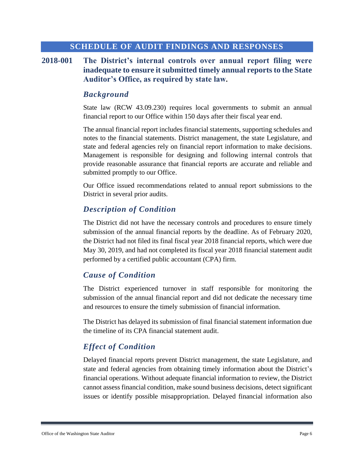#### **SCHEDULE OF AUDIT FINDINGS AND RESPONSES**

**2018-001 The District's internal controls over annual report filing were inadequate to ensure it submitted timely annual reports to the State Auditor's Office, as required by state law.**

#### <span id="page-5-0"></span>*Background*

State law (RCW 43.09.230) requires local governments to submit an annual financial report to our Office within 150 days after their fiscal year end.

The annual financial report includes financial statements, supporting schedules and notes to the financial statements. District management, the state Legislature, and state and federal agencies rely on financial report information to make decisions. Management is responsible for designing and following internal controls that provide reasonable assurance that financial reports are accurate and reliable and submitted promptly to our Office.

Our Office issued recommendations related to annual report submissions to the District in several prior audits.

#### *Description of Condition*

The District did not have the necessary controls and procedures to ensure timely submission of the annual financial reports by the deadline. As of February 2020, the District had not filed its final fiscal year 2018 financial reports, which were due May 30, 2019, and had not completed its fiscal year 2018 financial statement audit performed by a certified public accountant (CPA) firm.

#### *Cause of Condition*

The District experienced turnover in staff responsible for monitoring the submission of the annual financial report and did not dedicate the necessary time and resources to ensure the timely submission of financial information.

The District has delayed its submission of final financial statement information due the timeline of its CPA financial statement audit.

#### *Effect of Condition*

Delayed financial reports prevent District management, the state Legislature, and state and federal agencies from obtaining timely information about the District's financial operations. Without adequate financial information to review, the District cannot assess financial condition, make sound business decisions, detect significant issues or identify possible misappropriation. Delayed financial information also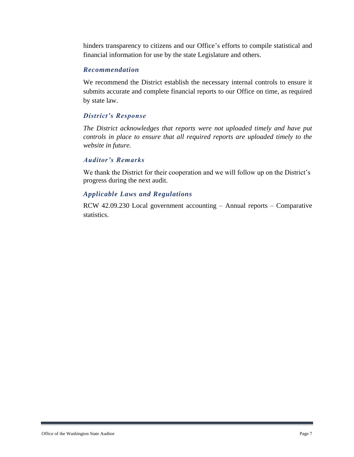hinders transparency to citizens and our Office's efforts to compile statistical and financial information for use by the state Legislature and others.

#### *Recommendation*

We recommend the District establish the necessary internal controls to ensure it submits accurate and complete financial reports to our Office on time, as required by state law.

#### *District's Response*

*The District acknowledges that reports were not uploaded timely and have put controls in place to ensure that all required reports are uploaded timely to the website in future.*

#### *Auditor's Remarks*

We thank the District for their cooperation and we will follow up on the District's progress during the next audit.

#### *Applicable Laws and Regulations*

RCW 42.09.230 Local government accounting – Annual reports – Comparative statistics.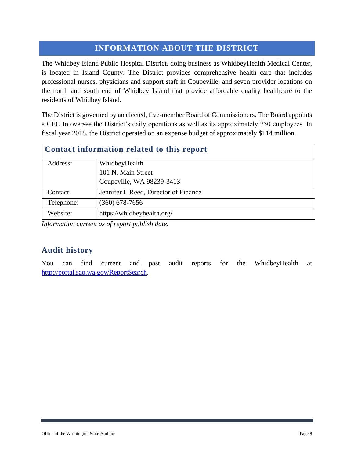## <span id="page-7-0"></span>**INFORMATION ABOUT THE DISTRICT**

The Whidbey Island Public Hospital District, doing business as WhidbeyHealth Medical Center, is located in Island County. The District provides comprehensive health care that includes professional nurses, physicians and support staff in Coupeville, and seven provider locations on the north and south end of Whidbey Island that provide affordable quality healthcare to the residents of Whidbey Island.

The District is governed by an elected, five-member Board of Commissioners. The Board appoints a CEO to oversee the District's daily operations as well as its approximately 750 employees. In fiscal year 2018, the District operated on an expense budget of approximately \$114 million.

| Contact information related to this report |                                      |  |  |
|--------------------------------------------|--------------------------------------|--|--|
| Address:                                   | WhidbeyHealth                        |  |  |
|                                            | 101 N. Main Street                   |  |  |
|                                            | Coupeville, WA 98239-3413            |  |  |
| Contact:                                   | Jennifer L Reed, Director of Finance |  |  |
| Telephone:                                 | $(360)$ 678-7656                     |  |  |
| Website:                                   | https://whidbeyhealth.org/           |  |  |

*Information current as of report publish date.*

## **Audit history**

You can find current and past audit reports for the WhidbeyHealth at [http://portal.sao.wa.gov/ReportSearch.](http://portal.sao.wa.gov/ReportSearch/?qItemType=1&qItemDesc=Whidbey%20Island%20Public%20Hospital%20District&qItemValue=1466)